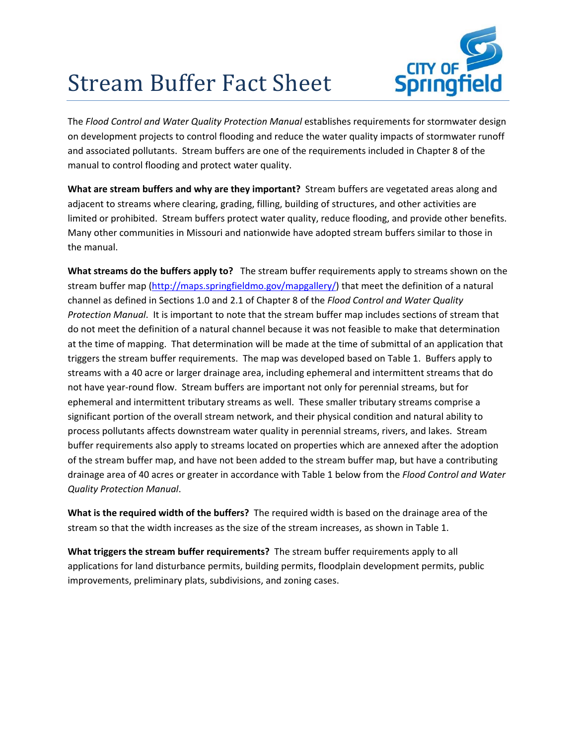

## **Stream Buffer Fact Sheet**

The *Flood Control and Water Quality Protection Manual* establishes requirements for stormwater design on development projects to control flooding and reduce the water quality impacts of stormwater runoff and associated pollutants. Stream buffers are one of the requirements included in Chapter 8 of the manual to control flooding and protect water quality.

**What are stream buffers and why are they important?** Stream buffers are vegetated areas along and adjacent to streams where clearing, grading, filling, building of structures, and other activities are limited or prohibited. Stream buffers protect water quality, reduce flooding, and provide other benefits. Many other communities in Missouri and nationwide have adopted stream buffers similar to those in the manual.

**What streams do the buffers apply to?** The stream buffer requirements apply to streams shown on the stream buffer map (http://maps.springfieldmo.gov/mapgallery/) that meet the definition of a natural channel as defined in Sections 1.0 and 2.1 of Chapter 8 of the *Flood Control and Water Quality Protection Manual*. It is important to note that the stream buffer map includes sections of stream that do not meet the definition of a natural channel because it was not feasible to make that determination at the time of mapping. That determination will be made at the time of submittal of an application that triggers the stream buffer requirements. The map was developed based on Table 1. Buffers apply to streams with a 40 acre or larger drainage area, including ephemeral and intermittent streams that do not have year-round flow. Stream buffers are important not only for perennial streams, but for ephemeral and intermittent tributary streams as well. These smaller tributary streams comprise a significant portion of the overall stream network, and their physical condition and natural ability to process pollutants affects downstream water quality in perennial streams, rivers, and lakes. Stream buffer requirements also apply to streams located on properties which are annexed after the adoption of the stream buffer map, and have not been added to the stream buffer map, but have a contributing drainage area of 40 acres or greater in accordance with Table 1 below from the *Flood Control and Water Quality Protection Manual*.

**What is the required width of the buffers?** The required width is based on the drainage area of the stream so that the width increases as the size of the stream increases, as shown in Table 1.

**What triggers the stream buffer requirements?** The stream buffer requirements apply to all applications for land disturbance permits, building permits, floodplain development permits, public improvements, preliminary plats, subdivisions, and zoning cases.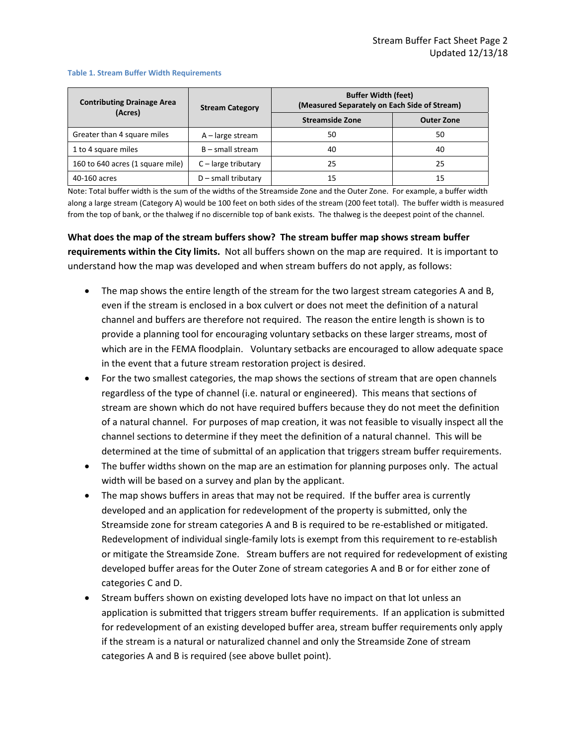| <b>Contributing Drainage Area</b><br>(Acres) | <b>Stream Category</b> | <b>Buffer Width (feet)</b><br>(Measured Separately on Each Side of Stream) |                   |
|----------------------------------------------|------------------------|----------------------------------------------------------------------------|-------------------|
|                                              |                        | <b>Streamside Zone</b>                                                     | <b>Outer Zone</b> |
| Greater than 4 square miles                  | $A$ – large stream     | 50                                                                         | 50                |
| 1 to 4 square miles                          | $B$ – small stream     | 40                                                                         | 40                |
| 160 to 640 acres (1 square mile)             | $C$ – large tributary  | 25                                                                         | 25                |
| 40-160 acres                                 | $D$ – small tributary  | 15                                                                         | 15                |

## **Table 1. Stream Buffer Width Requirements**

Note: Total buffer width is the sum of the widths of the Streamside Zone and the Outer Zone. For example, a buffer width along a large stream (Category A) would be 100 feet on both sides of the stream (200 feet total). The buffer width is measured from the top of bank, or the thalweg if no discernible top of bank exists. The thalweg is the deepest point of the channel.

**What does the map of the stream buffers show? The stream buffer map shows stream buffer requirements within the City limits.** Not all buffers shown on the map are required. It is important to understand how the map was developed and when stream buffers do not apply, as follows:

- The map shows the entire length of the stream for the two largest stream categories A and B, even if the stream is enclosed in a box culvert or does not meet the definition of a natural channel and buffers are therefore not required. The reason the entire length is shown is to provide a planning tool for encouraging voluntary setbacks on these larger streams, most of which are in the FEMA floodplain. Voluntary setbacks are encouraged to allow adequate space in the event that a future stream restoration project is desired.
- For the two smallest categories, the map shows the sections of stream that are open channels regardless of the type of channel (i.e. natural or engineered). This means that sections of stream are shown which do not have required buffers because they do not meet the definition of a natural channel. For purposes of map creation, it was not feasible to visually inspect all the channel sections to determine if they meet the definition of a natural channel. This will be determined at the time of submittal of an application that triggers stream buffer requirements.
- The buffer widths shown on the map are an estimation for planning purposes only. The actual width will be based on a survey and plan by the applicant.
- The map shows buffers in areas that may not be required. If the buffer area is currently developed and an application for redevelopment of the property is submitted, only the Streamside zone for stream categories A and B is required to be re‐established or mitigated. Redevelopment of individual single-family lots is exempt from this requirement to re-establish or mitigate the Streamside Zone. Stream buffers are not required for redevelopment of existing developed buffer areas for the Outer Zone of stream categories A and B or for either zone of categories C and D.
- Stream buffers shown on existing developed lots have no impact on that lot unless an application is submitted that triggers stream buffer requirements. If an application is submitted for redevelopment of an existing developed buffer area, stream buffer requirements only apply if the stream is a natural or naturalized channel and only the Streamside Zone of stream categories A and B is required (see above bullet point).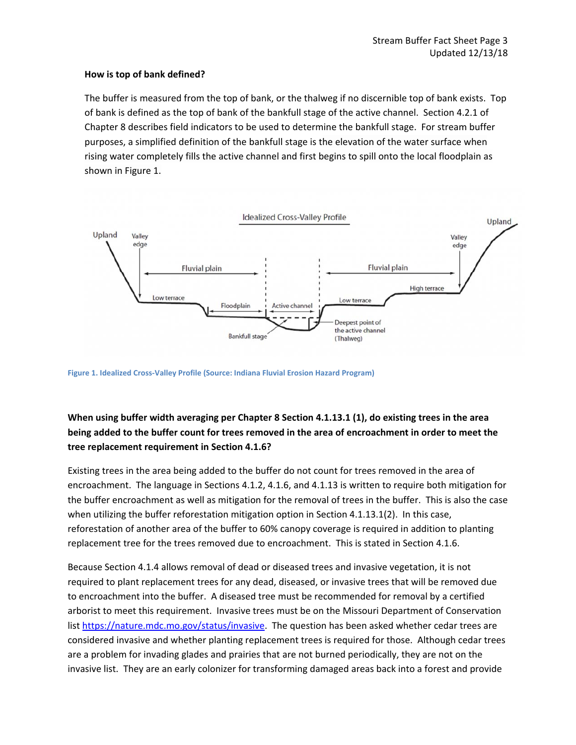## **How is top of bank defined?**

The buffer is measured from the top of bank, or the thalweg if no discernible top of bank exists. Top of bank is defined as the top of bank of the bankfull stage of the active channel. Section 4.2.1 of Chapter 8 describes field indicators to be used to determine the bankfull stage. For stream buffer purposes, a simplified definition of the bankfull stage is the elevation of the water surface when rising water completely fills the active channel and first begins to spill onto the local floodplain as shown in Figure 1.



**Figure 1. Idealized Cross‐Valley Profile (Source: Indiana Fluvial Erosion Hazard Program)**

## **When using buffer width averaging per Chapter 8 Section 4.1.13.1 (1), do existing trees in the area** being added to the buffer count for trees removed in the area of encroachment in order to meet the **tree replacement requirement in Section 4.1.6?**

Existing trees in the area being added to the buffer do not count for trees removed in the area of encroachment. The language in Sections 4.1.2, 4.1.6, and 4.1.13 is written to require both mitigation for the buffer encroachment as well as mitigation for the removal of trees in the buffer. This is also the case when utilizing the buffer reforestation mitigation option in Section 4.1.13.1(2). In this case, reforestation of another area of the buffer to 60% canopy coverage is required in addition to planting replacement tree for the trees removed due to encroachment. This is stated in Section 4.1.6.

Because Section 4.1.4 allows removal of dead or diseased trees and invasive vegetation, it is not required to plant replacement trees for any dead, diseased, or invasive trees that will be removed due to encroachment into the buffer. A diseased tree must be recommended for removal by a certified arborist to meet this requirement. Invasive trees must be on the Missouri Department of Conservation list https://nature.mdc.mo.gov/status/invasive. The question has been asked whether cedar trees are considered invasive and whether planting replacement trees is required for those. Although cedar trees are a problem for invading glades and prairies that are not burned periodically, they are not on the invasive list. They are an early colonizer for transforming damaged areas back into a forest and provide